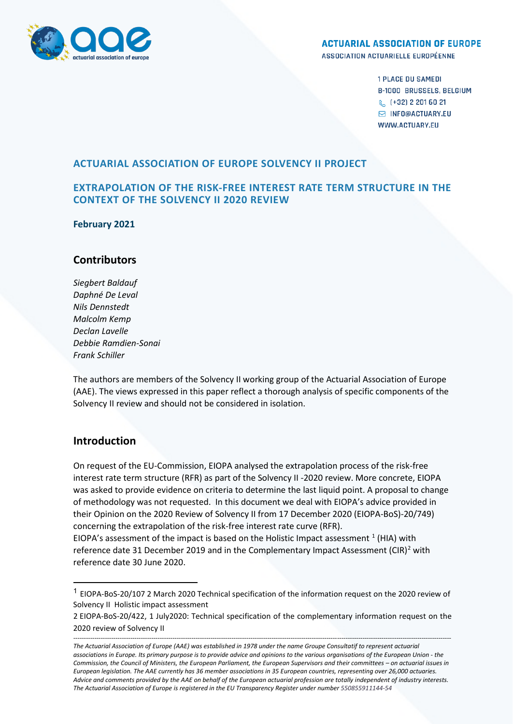

#### **ACTUARIAL ASSOCIATION OF EUROPE**

ASSOCIATION ACTUARIELLE EUROPÉENNE

**1 PLACE DU SAMEDI B-1000 BRUSSELS, BELGIUM** & (+32) 2 201 60 21 M INFO@ACTUARY.EU **WWW.ACTUARY.FU** 

## **ACTUARIAL ASSOCIATION OF EUROPE SOLVENCY II PROJECT**

## **EXTRAPOLATION OF THE RISK-FREE INTEREST RATE TERM STRUCTURE IN THE CONTEXT OF THE SOLVENCY II 2020 REVIEW**

**February 2021**

## **Contributors**

*Siegbert Baldauf Daphné De Leval Nils Dennstedt Malcolm Kemp Declan Lavelle Debbie Ramdien-Sonai Frank Schiller*

The authors are members of the Solvency II working group of the Actuarial Association of Europe (AAE). The views expressed in this paper reflect a thorough analysis of specific components of the Solvency II review and should not be considered in isolation.

# **Introduction**

On request of the EU-Commission, EIOPA analysed the extrapolation process of the risk-free interest rate term structure (RFR) as part of the Solvency II -2020 review. More concrete, EIOPA was asked to provide evidence on criteria to determine the last liquid point. A proposal to change of methodology was not requested. In this document we deal with EIOPA's advice provided in their Opinion on the 2020 Review of Solvency II from 17 December 2020 (EIOPA-BoS)-20/749) concerning the extrapolation of the risk-free interest rate curve (RFR). EIOPA's assessment of the impact is based on the Holistic Impact assessment  $<sup>1</sup>$  $<sup>1</sup>$  $<sup>1</sup>$  (HIA) with</sup> reference date 31 December [2](#page-0-1)019 and in the Complementary Impact Assessment (CIR)<sup>2</sup> with reference date 30 June 2020.

<span id="page-0-0"></span><sup>1</sup> EIOPA-BoS-20/107 2 March 2020 Technical specification of the information request on the 2020 review of Solvency II Holistic impact assessment

<span id="page-0-1"></span><sup>2</sup> EIOPA-BoS-20/422, 1 July2020: Technical specification of the complementary information request on the 2020 review of Solvency II

*<sup>-----------------------------------------------------------------------------------------------------------------------------------------------------------------------------------</sup> The Actuarial Association of Europe (AAE) was established in 1978 under the name Groupe Consultatif to represent actuarial associations in Europe. Its primary purpose is to provide advice and opinions to the various organisations of the European Union - the Commission, the Council of Ministers, the European Parliament, the European Supervisors and their committees – on actuarial issues in European legislation. The AAE currently has 36 member associations in 35 European countries, representing over 26,000 actuaries. Advice and comments provided by the AAE on behalf of the European actuarial profession are totally independent of industry interests. The Actuarial Association of Europe is registered in the EU Transparency Register under number 550855911144-54*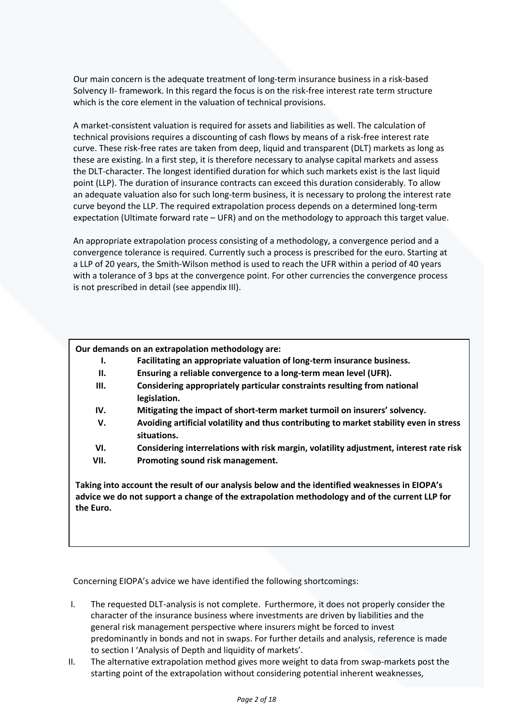Our main concern is the adequate treatment of long-term insurance business in a risk-based Solvency II- framework. In this regard the focus is on the risk-free interest rate term structure which is the core element in the valuation of technical provisions.

A market-consistent valuation is required for assets and liabilities as well. The calculation of technical provisions requires a discounting of cash flows by means of a risk-free interest rate curve. These risk-free rates are taken from deep, liquid and transparent (DLT) markets as long as these are existing. In a first step, it is therefore necessary to analyse capital markets and assess the DLT-character. The longest identified duration for which such markets exist is the last liquid point (LLP). The duration of insurance contracts can exceed this duration considerably. To allow an adequate valuation also for such long-term business, it is necessary to prolong the interest rate curve beyond the LLP. The required extrapolation process depends on a determined long-term expectation (Ultimate forward rate – UFR) and on the methodology to approach this target value.

An appropriate extrapolation process consisting of a methodology, a convergence period and a convergence tolerance is required. Currently such a process is prescribed for the euro. Starting at a LLP of 20 years, the Smith-Wilson method is used to reach the UFR within a period of 40 years with a tolerance of 3 bps at the convergence point. For other currencies the convergence process is not prescribed in detail (see appendix III).

#### **Our demands on an extrapolation methodology are:**

- **I. Facilitating an appropriate valuation of long-term insurance business.**
- **II. Ensuring a reliable convergence to a long-term mean level (UFR).**
- **III. Considering appropriately particular constraints resulting from national legislation.**
- **IV. Mitigating the impact of short-term market turmoil on insurers' solvency.**
- **V. Avoiding artificial volatility and thus contributing to market stability even in stress situations.**
- **VI. Considering interrelations with risk margin, volatility adjustment, interest rate risk**
- **VII. Promoting sound risk management.**

**Taking into account the result of our analysis below and the identified weaknesses in EIOPA's advice we do not support a change of the extrapolation methodology and of the current LLP for the Euro.**

Concerning EIOPA's advice we have identified the following shortcomings:

- I. The requested DLT-analysis is not complete. Furthermore, it does not properly consider the character of the insurance business where investments are driven by liabilities and the general risk management perspective where insurers might be forced to invest predominantly in bonds and not in swaps. For further details and analysis, reference is made to section I 'Analysis of Depth and liquidity of markets'.
- II. The alternative extrapolation method gives more weight to data from swap-markets post the starting point of the extrapolation without considering potential inherent weaknesses,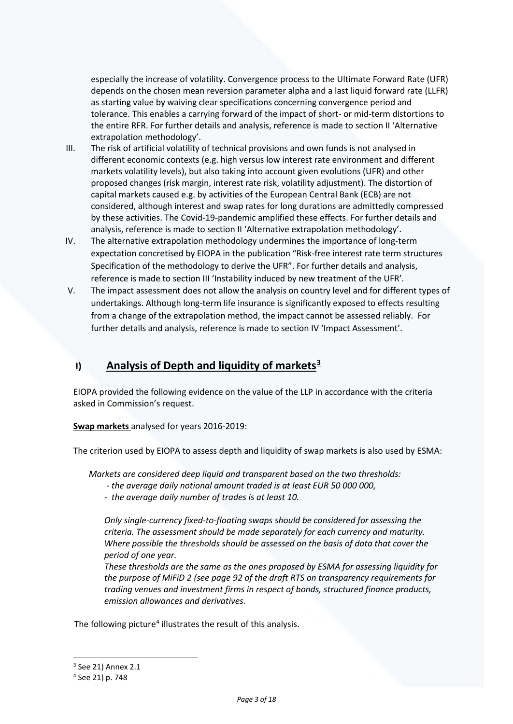especially the increase of volatility. Convergence process to the Ultimate Forward Rate (UFR) depends on the chosen mean reversion parameter alpha and a last liquid forward rate (LLFR) as starting value by waiving clear specifications concerning convergence period and tolerance. This enables a carrying forward of the impact of short- or mid-term distortions to the entire RFR. For further details and analysis, reference is made to section II 'Alternative extrapolation methodology'.

- III. The risk of artificial volatility of technical provisions and own funds is not analysed in different economic contexts (e.g. high versus low interest rate environment and different markets volatility levels), but also taking into account given evolutions (UFR) and other proposed changes (risk margin, interest rate risk, volatility adjustment). The distortion of capital markets caused e.g. by activities of the European Central Bank (ECB) are not considered, although interest and swap rates for long durations are admittedly compressed by these activities. The Covid-19-pandemic amplified these effects. For further details and analysis, reference is made to section II 'Alternative extrapolation methodology'.
- IV. The alternative extrapolation methodology undermines the importance of long-term expectation concretised by EIOPA in the publication "Risk-free interest rate term structures Specification of the methodology to derive the UFR". For further details and analysis, reference is made to section III 'Instability induced by new treatment of the UFR'.
- V. The impact assessment does not allow the analysis on country level and for different types of undertakings. Although long-term life insurance is significantly exposed to effects resulting from a change of the extrapolation method, the impact cannot be assessed reliably. For further details and analysis, reference is made to section IV 'Impact Assessment'.

# **I) Analysis of Depth and liquidity of markets[3](#page-2-0)**

EIOPA provided the following evidence on the value of the LLP in accordance with the criteria asked in Commission's request.

**Swap markets** analysed for years 2016-2019:

The criterion used by EIOPA to assess depth and liquidity of swap markets is also used by ESMA:

*Markets are considered deep liquid and transparent based on the two thresholds:*

- *- the average daily notional amount traded is at least EUR 50 000 000,*
- *the average daily number of trades is at least 10.*

*Only single-currency fixed-to-floating swaps should be considered for assessing the criteria. The assessment should be made separately for each currency and maturity. Where possible the thresholds should be assessed on the basis of data that cover the period of one year.* 

*These thresholds are the same as the ones proposed by ESMA for assessing liquidity for the purpose of MiFiD 2 (see page 92 of the draft RTS on transparency requirements for trading venues and investment firms in respect of bonds, structured finance products, emission allowances and derivatives.* 

The following picture<sup>4</sup> illustrates the result of this analysis.

 $3$  See 21) Annex 2.1

<span id="page-2-1"></span><span id="page-2-0"></span><sup>4</sup> See 21) p. 748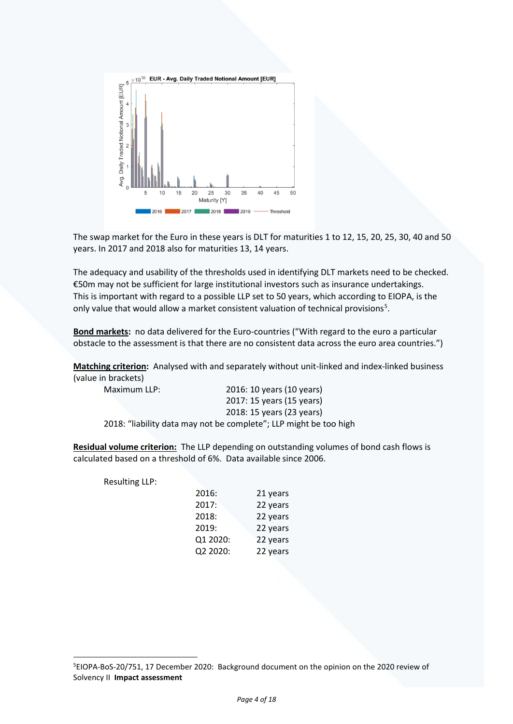

The swap market for the Euro in these years is DLT for maturities 1 to 12, 15, 20, 25, 30, 40 and 50 years. In 2017 and 2018 also for maturities 13, 14 years.

The adequacy and usability of the thresholds used in identifying DLT markets need to be checked. €50m may not be sufficient for large institutional investors such as insurance undertakings. This is important with regard to a possible LLP set to 50 years, which according to EIOPA, is the only value that would allow a market consistent valuation of technical provisions<sup>[5](#page-3-0)</sup>.

**Bond markets:** no data delivered for the Euro-countries ("With regard to the euro a particular obstacle to the assessment is that there are no consistent data across the euro area countries.")

**Matching criterion:** Analysed with and separately without unit-linked and index-linked business (value in brackets)

| Maximum LLP: | 2016: 10 years (10 years)                                         |
|--------------|-------------------------------------------------------------------|
|              | 2017: 15 years (15 years)                                         |
|              | 2018: 15 years (23 years)                                         |
|              | 2018: "liability data may not be complete"; LLP might be too high |

**Residual volume criterion:** The LLP depending on outstanding volumes of bond cash flows is calculated based on a threshold of 6%. Data available since 2006.

Resulting LLP:

| 2016:    | 21 years |
|----------|----------|
| 2017:    | 22 years |
| 2018:    | 22 years |
| 2019:    | 22 years |
| Q1 2020: | 22 years |
| Q2 2020: | 22 years |
|          |          |

<span id="page-3-0"></span><sup>5</sup> EIOPA-BoS-20/751, 17 December 2020: Background document on the opinion on the 2020 review of Solvency II **Impact assessment**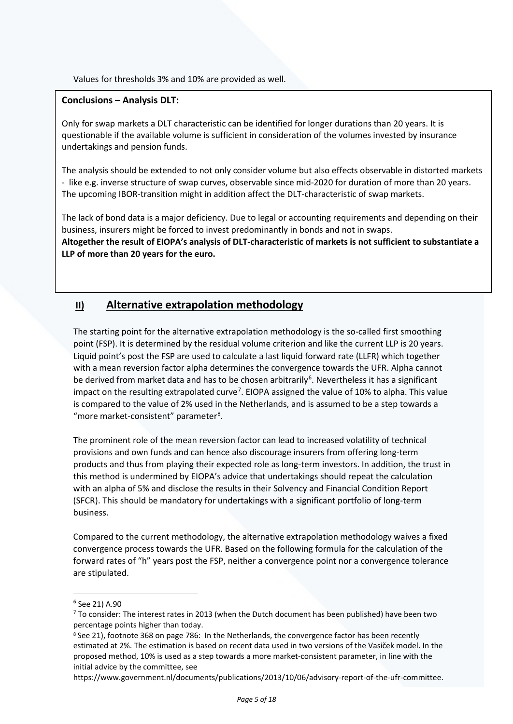Values for thresholds 3% and 10% are provided as well.

## **Conclusions – Analysis DLT:**

Only for swap markets a DLT characteristic can be identified for longer durations than 20 years. It is questionable if the available volume is sufficient in consideration of the volumes invested by insurance undertakings and pension funds.

The analysis should be extended to not only consider volume but also effects observable in distorted markets - like e.g. inverse structure of swap curves, observable since mid-2020 for duration of more than 20 years. The upcoming IBOR-transition might in addition affect the DLT-characteristic of swap markets.

The lack of bond data is a major deficiency. Due to legal or accounting requirements and depending on their business, insurers might be forced to invest predominantly in bonds and not in swaps. **Altogether the result of EIOPA's analysis of DLT-characteristic of markets is not sufficient to substantiate a LLP of more than 20 years for the euro.** 

# **II) Alternative extrapolation methodology**

The starting point for the alternative extrapolation methodology is the so-called first smoothing point (FSP). It is determined by the residual volume criterion and like the current LLP is 20 years. Liquid point's post the FSP are used to calculate a last liquid forward rate (LLFR) which together with a mean reversion factor alpha determines the convergence towards the UFR. Alpha cannot be derived from market data and has to be chosen arbitrarily<sup>[6](#page-4-0)</sup>. Nevertheless it has a significant impact on the resulting extrapolated curve<sup>[7](#page-4-1)</sup>. EIOPA assigned the value of 10% to alpha. This value is compared to the value of 2% used in the Netherlands, and is assumed to be a step towards a "more market-consistent" parameter<sup>8</sup>.

The prominent role of the mean reversion factor can lead to increased volatility of technical provisions and own funds and can hence also discourage insurers from offering long-term products and thus from playing their expected role as long-term investors. In addition, the trust in this method is undermined by EIOPA's advice that undertakings should repeat the calculation with an alpha of 5% and disclose the results in their Solvency and Financial Condition Report (SFCR). This should be mandatory for undertakings with a significant portfolio of long-term business.

Compared to the current methodology, the alternative extrapolation methodology waives a fixed convergence process towards the UFR. Based on the following formula for the calculation of the forward rates of "h" years post the FSP, neither a convergence point nor a convergence tolerance are stipulated.

<span id="page-4-0"></span><sup>6</sup> See 21) A.90

<span id="page-4-1"></span><sup>7</sup> To consider: The interest rates in 2013 (when the Dutch document has been published) have been two percentage points higher than today.

<span id="page-4-2"></span><sup>8</sup> See 21), footnote 368 on page 786: In the Netherlands, the convergence factor has been recently estimated at 2%. The estimation is based on recent data used in two versions of the Vasiček model. In the proposed method, 10% is used as a step towards a more market-consistent parameter, in line with the initial advice by the committee, see

https://www.government.nl/documents/publications/2013/10/06/advisory-report-of-the-ufr-committee.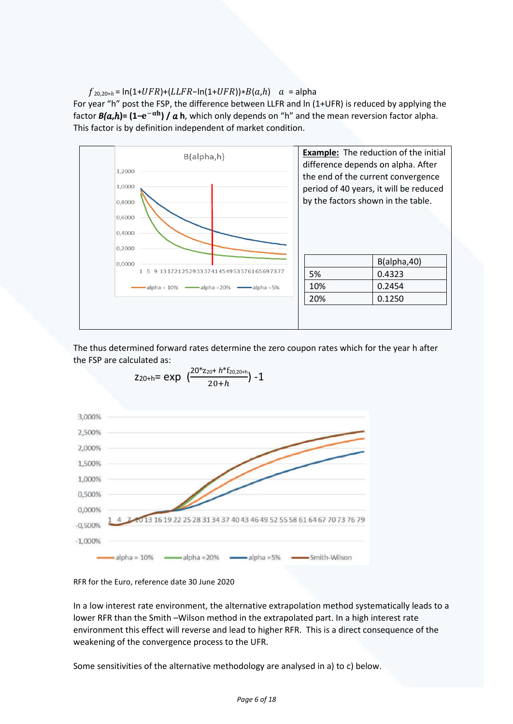### $f_{20.20+h} = \ln(1+UFR)+(LLFR-\ln(1+UFR))*B(a,h)$   $a =$ alpha

For year "h" post the FSP, the difference between LLFR and ln (1+UFR) is reduced by applying the factor  $B(a,h)$ =  $(1-e^{-\alpha h})/a$  **h**, which only depends on "h" and the mean reversion factor alpha. This factor is by definition independent of market condition.



The thus determined forward rates determine the zero coupon rates which for the year h after the FSP are calculated as:



$$
z_{20+h} = exp \left(\frac{20 \times z_{20} + h \times f_{20,20+h}}{20+h}\right) - 1
$$

RFR for the Euro, reference date 30 June 2020

In a low interest rate environment, the alternative extrapolation method systematically leads to a lower RFR than the Smith –Wilson method in the extrapolated part. In a high interest rate environment this effect will reverse and lead to higher RFR. This is a direct consequence of the weakening of the convergence process to the UFR.

Some sensitivities of the alternative methodology are analysed in a) to c) below.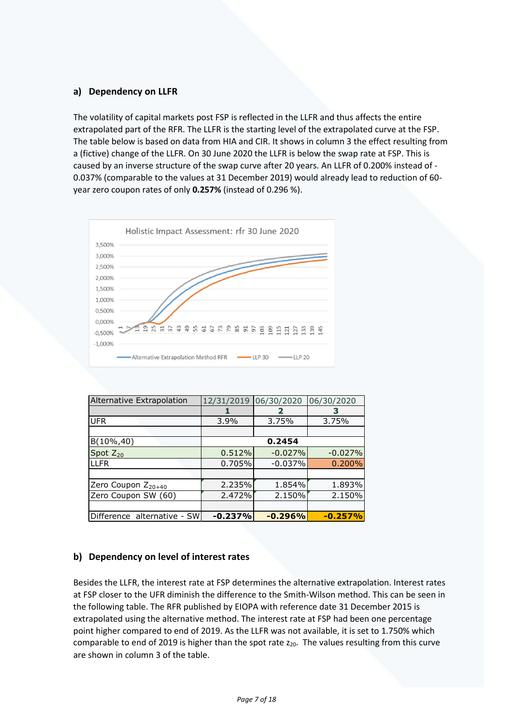## **a) Dependency on LLFR**

The volatility of capital markets post FSP is reflected in the LLFR and thus affects the entire extrapolated part of the RFR. The LLFR is the starting level of the extrapolated curve at the FSP. The table below is based on data from HIA and CIR. It shows in column 3 the effect resulting from a (fictive) change of the LLFR. On 30 June 2020 the LLFR is below the swap rate at FSP. This is caused by an inverse structure of the swap curve after 20 years. An LLFR of 0.200% instead of - 0.037% (comparable to the values at 31 December 2019) would already lead to reduction of 60 year zero coupon rates of only **0.257%** (instead of 0.296 %).



| Alternative Extrapolation      | 12/31/2019 | 06/30/2020 | 06/30/2020 |  |
|--------------------------------|------------|------------|------------|--|
|                                |            | 2          | з          |  |
| <b>UFR</b>                     | $3.9\%$    | 3.75%      | 3.75%      |  |
|                                |            |            |            |  |
| $B(10\%, 40)$                  | 0.2454     |            |            |  |
| Spot $Z_{20}$                  | 0.512%     | $-0.027%$  | $-0.027%$  |  |
| <b>LLFR</b>                    | 0.705%     | $-0.037%$  | 0.200%     |  |
|                                |            |            |            |  |
| Zero Coupon Z <sub>20+40</sub> | 2.235%     | 1.854%     | 1.893%     |  |
| Zero Coupon SW (60)            | 2.472%     | 2.150%     | 2.150%     |  |
|                                |            |            |            |  |
| Difference alternative - SW    | $-0.237%$  | $-0.296%$  | $-0.257%$  |  |

# **b) Dependency on level of interest rates**

Besides the LLFR, the interest rate at FSP determines the alternative extrapolation. Interest rates at FSP closer to the UFR diminish the difference to the Smith-Wilson method. This can be seen in the following table. The RFR published by EIOPA with reference date 31 December 2015 is extrapolated using the alternative method. The interest rate at FSP had been one percentage point higher compared to end of 2019. As the LLFR was not available, it is set to 1.750% which comparable to end of 2019 is higher than the spot rate z<sub>20</sub>. The values resulting from this curve are shown in column 3 of the table.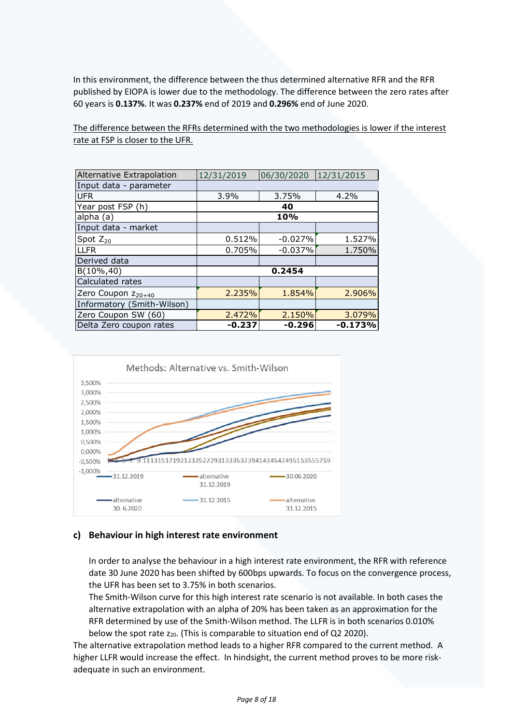In this environment, the difference between the thus determined alternative RFR and the RFR published by EIOPA is lower due to the methodology. The difference between the zero rates after 60 years is **0.137%**. It was **0.237%** end of 2019 and **0.296%** end of June 2020.

The difference between the RFRs determined with the two methodologies is lower if the interest rate at FSP is closer to the UFR.

| Alternative Extrapolation      | 12/31/2019 | 06/30/2020 | 12/31/2015 |  |
|--------------------------------|------------|------------|------------|--|
| Input data - parameter         |            |            |            |  |
| <b>UFR</b>                     | 3.9%       | 3.75%      | 4.2%       |  |
| Year post FSP (h)              | 40         |            |            |  |
| alpha (a)                      | 10%        |            |            |  |
| Input data - market            |            |            |            |  |
| Spot $Z_{20}$                  | 0.512%     | $-0.027%$  | 1.527%     |  |
| <b>LLFR</b>                    | 0.705%     | $-0.037%$  | 1.750%     |  |
| Derived data                   |            |            |            |  |
| $B(10\%, 40)$                  | 0.2454     |            |            |  |
| Calculated rates               |            |            |            |  |
| Zero Coupon Z <sub>20+40</sub> | 2.235%     | 1.854%     | 2.906%     |  |
| Informatory (Smith-Wilson)     |            |            |            |  |
| Zero Coupon SW (60)            | 2.472%     | 2.150%     | 3.079%     |  |
| Delta Zero coupon rates        | $-0.237$   | $-0.296$   | $-0.173%$  |  |



## **c) Behaviour in high interest rate environment**

In order to analyse the behaviour in a high interest rate environment, the RFR with reference date 30 June 2020 has been shifted by 600bps upwards. To focus on the convergence process, the UFR has been set to 3.75% in both scenarios.

The Smith-Wilson curve for this high interest rate scenario is not available. In both cases the alternative extrapolation with an alpha of 20% has been taken as an approximation for the RFR determined by use of the Smith-Wilson method. The LLFR is in both scenarios 0.010% below the spot rate  $z_{20}$ . (This is comparable to situation end of Q2 2020).

The alternative extrapolation method leads to a higher RFR compared to the current method. A higher LLFR would increase the effect. In hindsight, the current method proves to be more riskadequate in such an environment.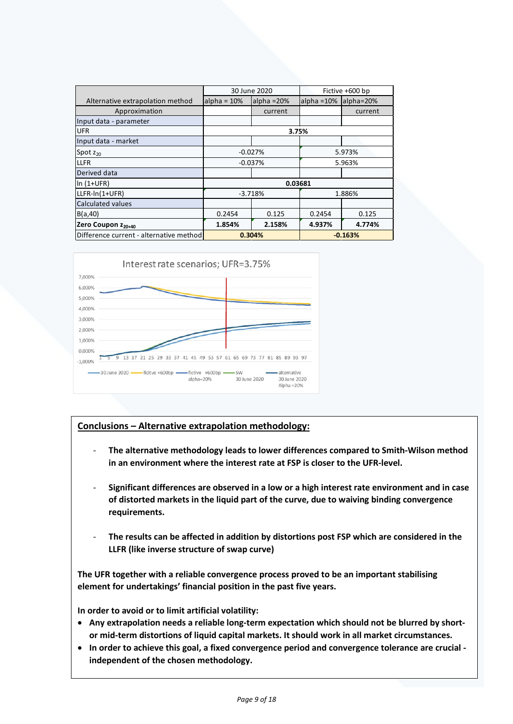|                                         | 30 June 2020        |              |              | Fictive +600 bp |  |  |
|-----------------------------------------|---------------------|--------------|--------------|-----------------|--|--|
| Alternative extrapolation method        | $alpha = 10%$       | alpha $=20%$ | alpha $=10%$ | alpha=20%       |  |  |
| Approximation                           |                     | current      |              | current         |  |  |
| Input data - parameter                  |                     |              |              |                 |  |  |
| <b>UFR</b>                              | 3.75%               |              |              |                 |  |  |
| Input data - market                     |                     |              |              |                 |  |  |
| Spot $z_{20}$                           | $-0.027%$<br>5.973% |              |              |                 |  |  |
| <b>LLFR</b>                             |                     | $-0.037%$    | 5.963%       |                 |  |  |
| Derived data                            |                     |              |              |                 |  |  |
| $\ln(1+UFR)$                            | 0.03681             |              |              |                 |  |  |
| LLFR-In(1+UFR)                          | $-3.718%$<br>1.886% |              |              |                 |  |  |
| <b>Calculated values</b>                |                     |              |              |                 |  |  |
| B(a, 40)                                | 0.2454              | 0.125        | 0.2454       | 0.125           |  |  |
| Zero Coupon Z <sub>20+40</sub>          | 1.854%              | 2.158%       | 4.937%       | 4.774%          |  |  |
| Difference current - alternative method | 0.304%              |              | $-0.163%$    |                 |  |  |



# **Conclusions – Alternative extrapolation methodology:**

- **The alternative methodology leads to lower differences compared to Smith-Wilson method in an environment where the interest rate at FSP is closer to the UFR-level.**
- **Significant differences are observed in a low or a high interest rate environment and in case of distorted markets in the liquid part of the curve, due to waiving binding convergence requirements.**
- The results can be affected in addition by distortions post FSP which are considered in the **LLFR (like inverse structure of swap curve)**

**The UFR together with a reliable convergence process proved to be an important stabilising element for undertakings' financial position in the past five years.** 

**In order to avoid or to limit artificial volatility:** 

- **Any extrapolation needs a reliable long-term expectation which should not be blurred by shortor mid-term distortions of liquid capital markets. It should work in all market circumstances.**
- **In order to achieve this goal, a fixed convergence period and convergence tolerance are crucial independent of the chosen methodology.**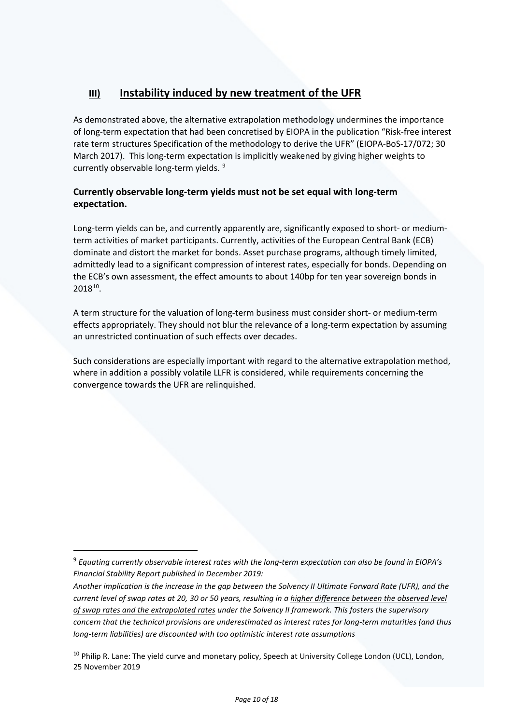# **III) Instability induced by new treatment of the UFR**

As demonstrated above, the alternative extrapolation methodology undermines the importance of long-term expectation that had been concretised by EIOPA in the publication "Risk-free interest rate term structures Specification of the methodology to derive the UFR" (EIOPA-BoS-17/072; 30 March 2017). This long-term expectation is implicitly weakened by giving higher weights to currently observable long-term yields.<sup>[9](#page-9-0)</sup>

# **Currently observable long-term yields must not be set equal with long-term expectation.**

Long-term yields can be, and currently apparently are, significantly exposed to short- or mediumterm activities of market participants. Currently, activities of the European Central Bank (ECB) dominate and distort the market for bonds. Asset purchase programs, although timely limited, admittedly lead to a significant compression of interest rates, especially for bonds. Depending on the ECB's own assessment, the effect amounts to about 140bp for ten year sovereign bonds in 2018[10.](#page-9-1)

A term structure for the valuation of long-term business must consider short- or medium-term effects appropriately. They should not blur the relevance of a long-term expectation by assuming an unrestricted continuation of such effects over decades.

Such considerations are especially important with regard to the alternative extrapolation method, where in addition a possibly volatile LLFR is considered, while requirements concerning the convergence towards the UFR are relinquished.

<span id="page-9-0"></span><sup>9</sup> *Equating currently observable interest rates with the long-term expectation can also be found in EIOPA's Financial Stability Report published in December 2019:*

*Another implication is the increase in the gap between the Solvency II Ultimate Forward Rate (UFR), and the current level of swap rates at 20, 30 or 50 years, resulting in a higher difference between the observed level of swap rates and the extrapolated rates under the Solvency II framework. This fosters the supervisory concern that the technical provisions are underestimated as interest rates for long-term maturities (and thus long-term liabilities) are discounted with too optimistic interest rate assumptions*

<span id="page-9-1"></span> $10$  Philip R. Lane: The yield curve and monetary policy, Speech at University College London (UCL), London, 25 November 2019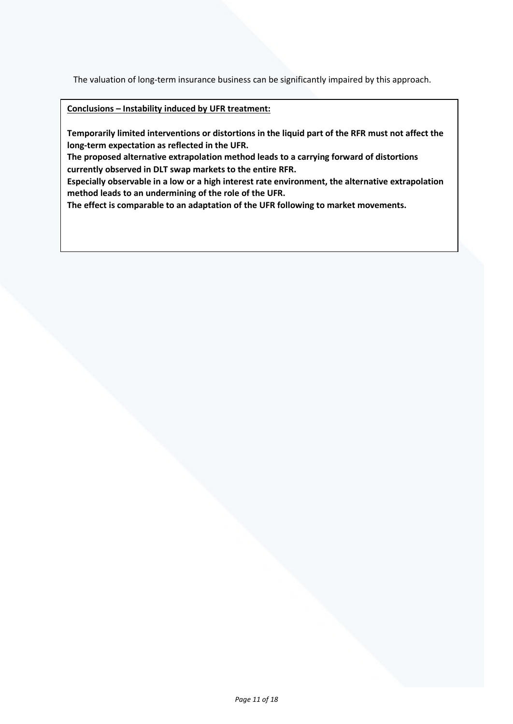The valuation of long-term insurance business can be significantly impaired by this approach.

**Conclusions – Instability induced by UFR treatment:**

**Temporarily limited interventions or distortions in the liquid part of the RFR must not affect the long-term expectation as reflected in the UFR.** 

**The proposed alternative extrapolation method leads to a carrying forward of distortions currently observed in DLT swap markets to the entire RFR.** 

**Especially observable in a low or a high interest rate environment, the alternative extrapolation method leads to an undermining of the role of the UFR.** 

**The effect is comparable to an adaptation of the UFR following to market movements.**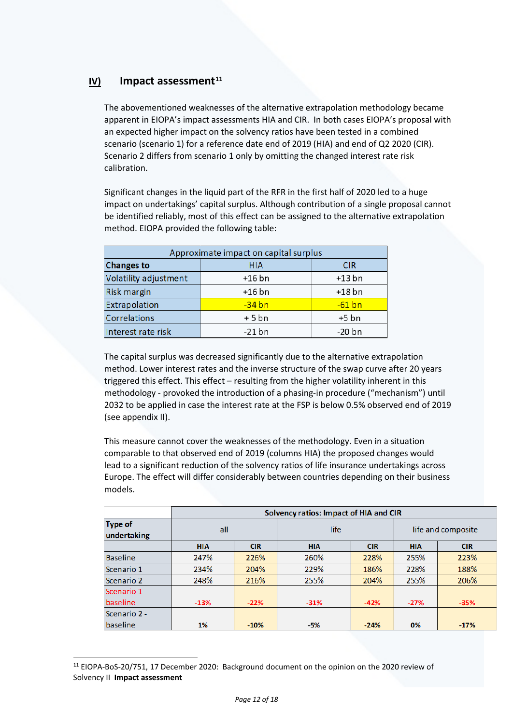# **IV) Impact assessment[11](#page-11-0)**

The abovementioned weaknesses of the alternative extrapolation methodology became apparent in EIOPA's impact assessments HIA and CIR. In both cases EIOPA's proposal with an expected higher impact on the solvency ratios have been tested in a combined scenario (scenario 1) for a reference date end of 2019 (HIA) and end of Q2 2020 (CIR). Scenario 2 differs from scenario 1 only by omitting the changed interest rate risk calibration.

Significant changes in the liquid part of the RFR in the first half of 2020 led to a huge impact on undertakings' capital surplus. Although contribution of a single proposal cannot be identified reliably, most of this effect can be assigned to the alternative extrapolation method. EIOPA provided the following table:

| Approximate impact on capital surplus |                          |          |  |  |
|---------------------------------------|--------------------------|----------|--|--|
| <b>Changes to</b>                     | <b>HIA</b><br><b>CIR</b> |          |  |  |
| Volatility adjustment                 | $+16$ bn                 | $+13$ bn |  |  |
| Risk margin                           | $+16$ bn                 | $+18$ bn |  |  |
| Extrapolation                         | $-34$ bn                 | $-61$ bn |  |  |
| <b>Correlations</b>                   | $+5$ bn                  | $+5$ bn  |  |  |
| Interest rate risk                    | $-21$ bn                 | $-20$ bn |  |  |

The capital surplus was decreased significantly due to the alternative extrapolation method. Lower interest rates and the inverse structure of the swap curve after 20 years triggered this effect. This effect – resulting from the higher volatility inherent in this methodology - provoked the introduction of a phasing-in procedure ("mechanism") until 2032 to be applied in case the interest rate at the FSP is below 0.5% observed end of 2019 (see appendix II).

This measure cannot cover the weaknesses of the methodology. Even in a situation comparable to that observed end of 2019 (columns HIA) the proposed changes would lead to a significant reduction of the solvency ratios of life insurance undertakings across Europe. The effect will differ considerably between countries depending on their business models.

|                               | Solvency ratios: Impact of HIA and CIR |            |            |            |                    |            |
|-------------------------------|----------------------------------------|------------|------------|------------|--------------------|------------|
| <b>Type of</b><br>undertaking | all                                    |            | life       |            | life and composite |            |
|                               | <b>HIA</b>                             | <b>CIR</b> | <b>HIA</b> | <b>CIR</b> | <b>HIA</b>         | <b>CIR</b> |
| <b>Baseline</b>               | 247%                                   | 226%       | 260%       | 228%       | 255%               | 223%       |
| Scenario 1                    | 234%                                   | 204%       | 229%       | 186%       | 228%               | 188%       |
| Scenario 2                    | 248%                                   | 216%       | 255%       | 204%       | 255%               | 206%       |
| Scenario 1 -                  |                                        |            |            |            |                    |            |
| baseline                      | $-13%$                                 | $-22%$     | $-31%$     | $-42%$     | $-27%$             | $-35%$     |
| Scenario 2 -                  |                                        |            |            |            |                    |            |
| baseline                      | 1%                                     | $-10%$     | $-5%$      | $-24%$     | 0%                 | $-17%$     |

<span id="page-11-0"></span><sup>11</sup> EIOPA-BoS-20/751, 17 December 2020: Background document on the opinion on the 2020 review of Solvency II **Impact assessment**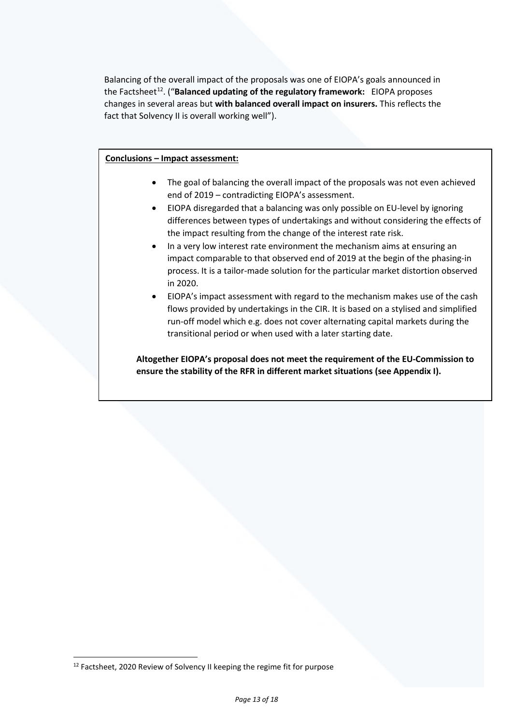Balancing of the overall impact of the proposals was one of EIOPA's goals announced in the Factshee[t12](#page-12-0). ("**Balanced updating of the regulatory framework:** EIOPA proposes changes in several areas but **with balanced overall impact on insurers.** This reflects the fact that Solvency II is overall working well").

#### **Conclusions – Impact assessment:**

- The goal of balancing the overall impact of the proposals was not even achieved end of 2019 – contradicting EIOPA's assessment.
- EIOPA disregarded that a balancing was only possible on EU-level by ignoring differences between types of undertakings and without considering the effects of the impact resulting from the change of the interest rate risk.
- In a very low interest rate environment the mechanism aims at ensuring an impact comparable to that observed end of 2019 at the begin of the phasing-in process. It is a tailor-made solution for the particular market distortion observed in 2020.
- EIOPA's impact assessment with regard to the mechanism makes use of the cash flows provided by undertakings in the CIR. It is based on a stylised and simplified run-off model which e.g. does not cover alternating capital markets during the transitional period or when used with a later starting date.

**Altogether EIOPA's proposal does not meet the requirement of the EU-Commission to ensure the stability of the RFR in different market situations (see Appendix I).**

<span id="page-12-0"></span><sup>&</sup>lt;sup>12</sup> Factsheet, 2020 Review of Solvency II keeping the regime fit for purpose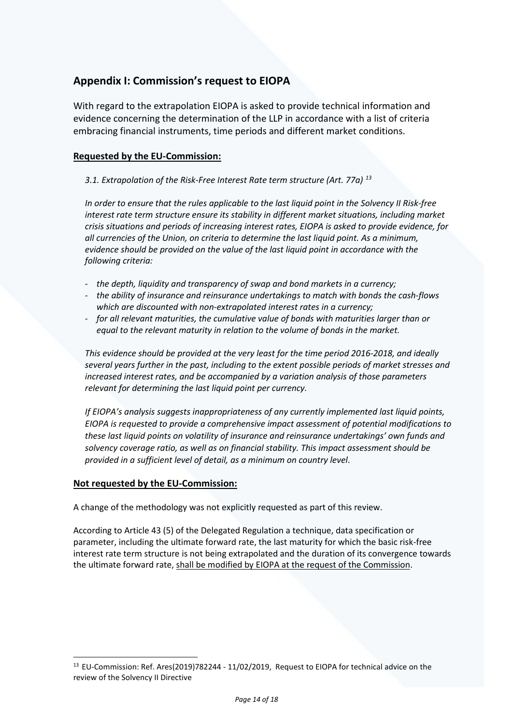# **Appendix I: Commission's request to EIOPA**

With regard to the extrapolation EIOPA is asked to provide technical information and evidence concerning the determination of the LLP in accordance with a list of criteria embracing financial instruments, time periods and different market conditions.

## **Requested by the EU-Commission:**

## *3.1. Extrapolation of the Risk-Free Interest Rate term structure (Art. 77a) [13](#page-13-0)*

*In order to ensure that the rules applicable to the last liquid point in the Solvency II Risk-free interest rate term structure ensure its stability in different market situations, including market crisis situations and periods of increasing interest rates, EIOPA is asked to provide evidence, for all currencies of the Union, on criteria to determine the last liquid point. As a minimum, evidence should be provided on the value of the last liquid point in accordance with the following criteria:* 

- *the depth, liquidity and transparency of swap and bond markets in a currency;*
- *the ability of insurance and reinsurance undertakings to match with bonds the cash-flows which are discounted with non-extrapolated interest rates in a currency;*
- *for all relevant maturities, the cumulative value of bonds with maturities larger than or equal to the relevant maturity in relation to the volume of bonds in the market.*

*This evidence should be provided at the very least for the time period 2016-2018, and ideally several years further in the past, including to the extent possible periods of market stresses and increased interest rates, and be accompanied by a variation analysis of those parameters relevant for determining the last liquid point per currency.* 

*If EIOPA's analysis suggests inappropriateness of any currently implemented last liquid points, EIOPA is requested to provide a comprehensive impact assessment of potential modifications to these last liquid points on volatility of insurance and reinsurance undertakings' own funds and solvency coverage ratio, as well as on financial stability. This impact assessment should be provided in a sufficient level of detail, as a minimum on country level*.

## **Not requested by the EU-Commission:**

A change of the methodology was not explicitly requested as part of this review.

According to Article 43 (5) of the Delegated Regulation a technique, data specification or parameter, including the ultimate forward rate, the last maturity for which the basic risk-free interest rate term structure is not being extrapolated and the duration of its convergence towards the ultimate forward rate, shall be modified by EIOPA at the request of the Commission.

<span id="page-13-0"></span><sup>&</sup>lt;sup>13</sup> EU-Commission: Ref. Ares(2019)782244 - 11/02/2019, Request to EIOPA for technical advice on the review of the Solvency II Directive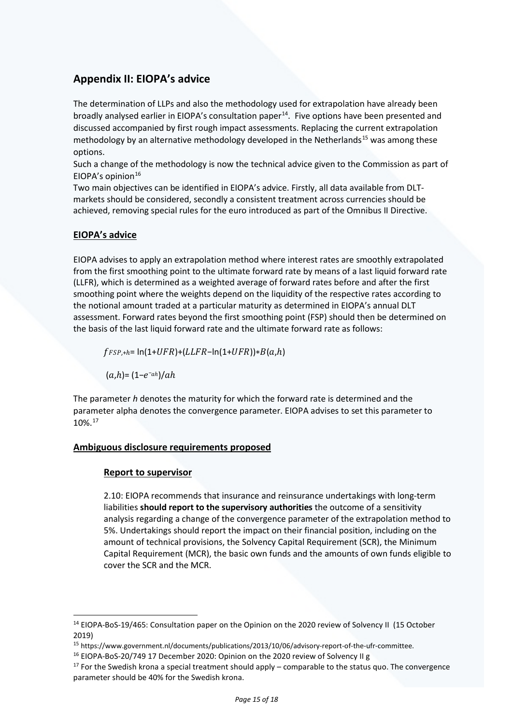# **Appendix II: EIOPA's advice**

The determination of LLPs and also the methodology used for extrapolation have already been broadly analysed earlier in EIOPA's consultation paper<sup>[14](#page-14-0)</sup>. Five options have been presented and discussed accompanied by first rough impact assessments. Replacing the current extrapolation methodology by an alternative methodology developed in the Netherlands<sup>[15](#page-14-1)</sup> was among these options.

Such a change of the methodology is now the technical advice given to the Commission as part of EIOPA's opinion $16$ 

Two main objectives can be identified in EIOPA's advice. Firstly, all data available from DLTmarkets should be considered, secondly a consistent treatment across currencies should be achieved, removing special rules for the euro introduced as part of the Omnibus II Directive.

## **EIOPA's advice**

EIOPA advises to apply an extrapolation method where interest rates are smoothly extrapolated from the first smoothing point to the ultimate forward rate by means of a last liquid forward rate (LLFR), which is determined as a weighted average of forward rates before and after the first smoothing point where the weights depend on the liquidity of the respective rates according to the notional amount traded at a particular maturity as determined in EIOPA's annual DLT assessment. Forward rates beyond the first smoothing point (FSP) should then be determined on the basis of the last liquid forward rate and the ultimate forward rate as follows:

 $f_{FSP, +h=} \ln(1+UFR) + (LLFR - \ln(1+UFR)) * B(a,h)$ 

 $(a,h)=(1-e^{-ah})/ah$ 

The parameter *h* denotes the maturity for which the forward rate is determined and the parameter alpha denotes the convergence parameter. EIOPA advises to set this parameter to 10%.[17](#page-14-3)

## **Ambiguous disclosure requirements proposed**

## **Report to supervisor**

2.10: EIOPA recommends that insurance and reinsurance undertakings with long-term liabilities **should report to the supervisory authorities** the outcome of a sensitivity analysis regarding a change of the convergence parameter of the extrapolation method to 5%. Undertakings should report the impact on their financial position, including on the amount of technical provisions, the Solvency Capital Requirement (SCR), the Minimum Capital Requirement (MCR), the basic own funds and the amounts of own funds eligible to cover the SCR and the MCR.

<span id="page-14-0"></span><sup>&</sup>lt;sup>14</sup> EIOPA-BoS-19/465: Consultation paper on the Opinion on the 2020 review of Solvency II (15 October 2019)

<span id="page-14-1"></span><sup>&</sup>lt;sup>15</sup> https://www.government.nl/documents/publications/2013/10/06/advisory-report-of-the-ufr-committee.<br><sup>16</sup> EIOPA-BoS-20/749 17 December 2020: Opinion on the 2020 review of Solvency II g

<span id="page-14-3"></span><span id="page-14-2"></span> $17$  For the Swedish krona a special treatment should apply – comparable to the status quo. The convergence parameter should be 40% for the Swedish krona.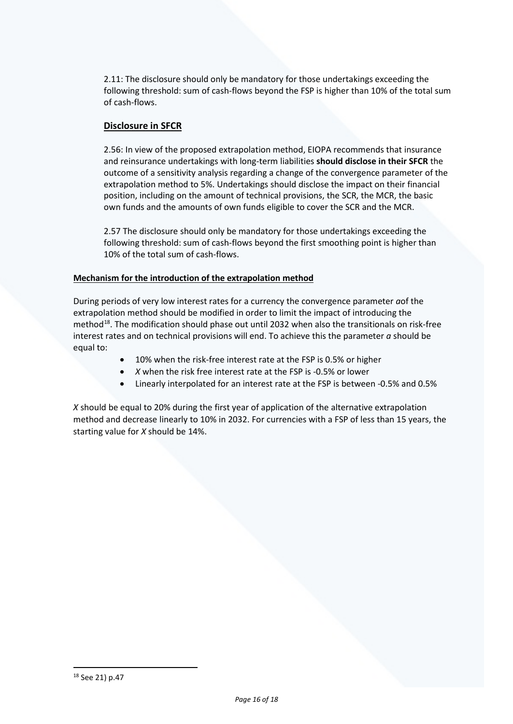2.11: The disclosure should only be mandatory for those undertakings exceeding the following threshold: sum of cash-flows beyond the FSP is higher than 10% of the total sum of cash-flows.

## **Disclosure in SFCR**

2.56: In view of the proposed extrapolation method, EIOPA recommends that insurance and reinsurance undertakings with long-term liabilities **should disclose in their SFCR** the outcome of a sensitivity analysis regarding a change of the convergence parameter of the extrapolation method to 5%. Undertakings should disclose the impact on their financial position, including on the amount of technical provisions, the SCR, the MCR, the basic own funds and the amounts of own funds eligible to cover the SCR and the MCR.

2.57 The disclosure should only be mandatory for those undertakings exceeding the following threshold: sum of cash-flows beyond the first smoothing point is higher than 10% of the total sum of cash-flows.

## **Mechanism for the introduction of the extrapolation method**

During periods of very low interest rates for a currency the convergence parameter *a*of the extrapolation method should be modified in order to limit the impact of introducing the method $^{18}$ . The modification should phase out until 2032 when also the transitionals on risk-free interest rates and on technical provisions will end. To achieve this the parameter *a* should be equal to:

- 10% when the risk-free interest rate at the FSP is 0.5% or higher
- *X* when the risk free interest rate at the FSP is -0.5% or lower
- Linearly interpolated for an interest rate at the FSP is between -0.5% and 0.5%

*X* should be equal to 20% during the first year of application of the alternative extrapolation method and decrease linearly to 10% in 2032. For currencies with a FSP of less than 15 years, the starting value for *X* should be 14%.

<span id="page-15-0"></span><sup>18</sup> See 21) p.47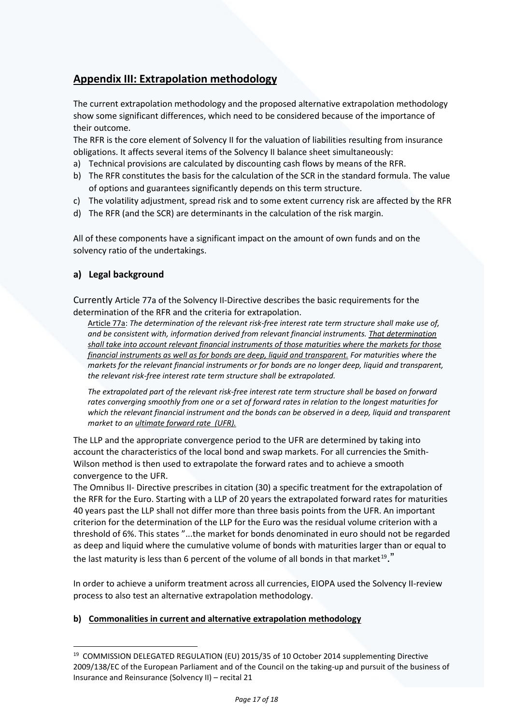# **Appendix III: Extrapolation methodology**

The current extrapolation methodology and the proposed alternative extrapolation methodology show some significant differences, which need to be considered because of the importance of their outcome.

The RFR is the core element of Solvency II for the valuation of liabilities resulting from insurance obligations. It affects several items of the Solvency II balance sheet simultaneously:

- a) Technical provisions are calculated by discounting cash flows by means of the RFR.
- b) The RFR constitutes the basis for the calculation of the SCR in the standard formula. The value of options and guarantees significantly depends on this term structure.
- c) The volatility adjustment, spread risk and to some extent currency risk are affected by the RFR
- d) The RFR (and the SCR) are determinants in the calculation of the risk margin.

All of these components have a significant impact on the amount of own funds and on the solvency ratio of the undertakings.

# **a) Legal background**

Currently Article 77a of the Solvency II-Directive describes the basic requirements for the determination of the RFR and the criteria for extrapolation.

Article 77a: *The determination of the relevant risk-free interest rate term structure shall make use of, and be consistent with, information derived from relevant financial instruments. That determination shall take into account relevant financial instruments of those maturities where the markets for those financial instruments as well as for bonds are deep, liquid and transparent. For maturities where the markets for the relevant financial instruments or for bonds are no longer deep, liquid and transparent, the relevant risk-free interest rate term structure shall be extrapolated.*

*The extrapolated part of the relevant risk-free interest rate term structure shall be based on forward rates converging smoothly from one or a set of forward rates in relation to the longest maturities for which the relevant financial instrument and the bonds can be observed in a deep, liquid and transparent market to an ultimate forward rate (UFR).*

The LLP and the appropriate convergence period to the UFR are determined by taking into account the characteristics of the local bond and swap markets. For all currencies the Smith-Wilson method is then used to extrapolate the forward rates and to achieve a smooth convergence to the UFR.

The Omnibus II- Directive prescribes in citation (30) a specific treatment for the extrapolation of the RFR for the Euro. Starting with a LLP of 20 years the extrapolated forward rates for maturities 40 years past the LLP shall not differ more than three basis points from the UFR. An important criterion for the determination of the LLP for the Euro was the residual volume criterion with a threshold of 6%. This states "...the market for bonds denominated in euro should not be regarded as deep and liquid where the cumulative volume of bonds with maturities larger than or equal to the last maturity is less than 6 percent of the volume of all bonds in that market<sup>[19](#page-16-0)</sup>."

In order to achieve a uniform treatment across all currencies, EIOPA used the Solvency II-review process to also test an alternative extrapolation methodology.

## **b) Commonalities in current and alternative extrapolation methodology**

<span id="page-16-0"></span><sup>&</sup>lt;sup>19</sup> COMMISSION DELEGATED REGULATION (EU) 2015/35 of 10 October 2014 supplementing Directive 2009/138/EC of the European Parliament and of the Council on the taking-up and pursuit of the business of Insurance and Reinsurance (Solvency II) – recital 21